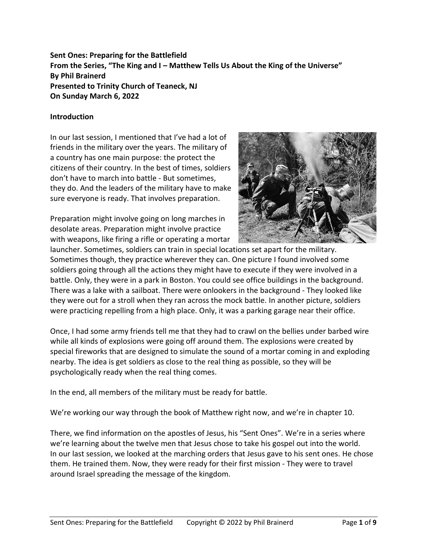**Sent Ones: Preparing for the Battlefield From the Series, "The King and I – Matthew Tells Us About the King of the Universe" By Phil Brainerd Presented to Trinity Church of Teaneck, NJ On Sunday March 6, 2022**

## **Introduction**

In our last session, I mentioned that I've had a lot of friends in the military over the years. The military of a country has one main purpose: the protect the citizens of their country. In the best of times, soldiers don't have to march into battle - But sometimes, they do. And the leaders of the military have to make sure everyone is ready. That involves preparation.

Preparation might involve going on long marches in desolate areas. Preparation might involve practice with weapons, like firing a rifle or operating a mortar



launcher. Sometimes, soldiers can train in special locations set apart for the military. Sometimes though, they practice wherever they can. One picture I found involved some soldiers going through all the actions they might have to execute if they were involved in a battle. Only, they were in a park in Boston. You could see office buildings in the background. There was a lake with a sailboat. There were onlookers in the background - They looked like they were out for a stroll when they ran across the mock battle. In another picture, soldiers were practicing repelling from a high place. Only, it was a parking garage near their office.

Once, I had some army friends tell me that they had to crawl on the bellies under barbed wire while all kinds of explosions were going off around them. The explosions were created by special fireworks that are designed to simulate the sound of a mortar coming in and exploding nearby. The idea is get soldiers as close to the real thing as possible, so they will be psychologically ready when the real thing comes.

In the end, all members of the military must be ready for battle.

We're working our way through the book of Matthew right now, and we're in chapter 10.

There, we find information on the apostles of Jesus, his "Sent Ones". We're in a series where we're learning about the twelve men that Jesus chose to take his gospel out into the world. In our last session, we looked at the marching orders that Jesus gave to his sent ones. He chose them. He trained them. Now, they were ready for their first mission - They were to travel around Israel spreading the message of the kingdom.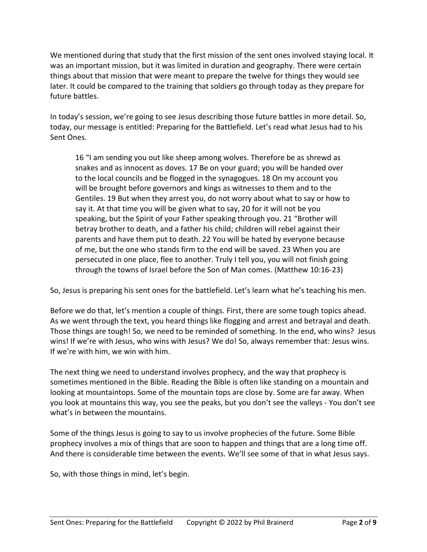We mentioned during that study that the first mission of the sent ones involved staying local. It was an important mission, but it was limited in duration and geography. There were certain things about that mission that were meant to prepare the twelve for things they would see later. It could be compared to the training that soldiers go through today as they prepare for future battles.

In today's session, we're going to see Jesus describing those future battles in more detail. So, today, our message is entitled: Preparing for the Battlefield. Let's read what Jesus had to his Sent Ones.

16 "I am sending you out like sheep among wolves. Therefore be as shrewd as snakes and as innocent as doves. 17 Be on your guard; you will be handed over to the local councils and be flogged in the synagogues. 18 On my account you will be brought before governors and kings as witnesses to them and to the Gentiles. 19 But when they arrest you, do not worry about what to say or how to say it. At that time you will be given what to say, 20 for it will not be you speaking, but the Spirit of your Father speaking through you. 21 "Brother will betray brother to death, and a father his child; children will rebel against their parents and have them put to death. 22 You will be hated by everyone because of me, but the one who stands firm to the end will be saved. 23 When you are persecuted in one place, flee to another. Truly I tell you, you will not finish going through the towns of Israel before the Son of Man comes. (Matthew 10:16-23)

So, Jesus is preparing his sent ones for the battlefield. Let's learn what he's teaching his men.

Before we do that, let's mention a couple of things. First, there are some tough topics ahead. As we went through the text, you heard things like flogging and arrest and betrayal and death. Those things are tough! So, we need to be reminded of something. In the end, who wins? Jesus wins! If we're with Jesus, who wins with Jesus? We do! So, always remember that: Jesus wins. If we're with him, we win with him.

The next thing we need to understand involves prophecy, and the way that prophecy is sometimes mentioned in the Bible. Reading the Bible is often like standing on a mountain and looking at mountaintops. Some of the mountain tops are close by. Some are far away. When you look at mountains this way, you see the peaks, but you don't see the valleys - You don't see what's in between the mountains.

Some of the things Jesus is going to say to us involve prophecies of the future. Some Bible prophecy involves a mix of things that are soon to happen and things that are a long time off. And there is considerable time between the events. We'll see some of that in what Jesus says.

So, with those things in mind, let's begin.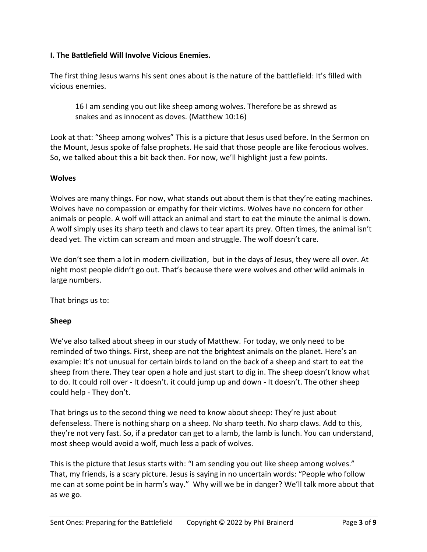# **I. The Battlefield Will Involve Vicious Enemies.**

The first thing Jesus warns his sent ones about is the nature of the battlefield: It's filled with vicious enemies.

16 I am sending you out like sheep among wolves. Therefore be as shrewd as snakes and as innocent as doves. (Matthew 10:16)

Look at that: "Sheep among wolves" This is a picture that Jesus used before. In the Sermon on the Mount, Jesus spoke of false prophets. He said that those people are like ferocious wolves. So, we talked about this a bit back then. For now, we'll highlight just a few points.

### **Wolves**

Wolves are many things. For now, what stands out about them is that they're eating machines. Wolves have no compassion or empathy for their victims. Wolves have no concern for other animals or people. A wolf will attack an animal and start to eat the minute the animal is down. A wolf simply uses its sharp teeth and claws to tear apart its prey. Often times, the animal isn't dead yet. The victim can scream and moan and struggle. The wolf doesn't care.

We don't see them a lot in modern civilization, but in the days of Jesus, they were all over. At night most people didn't go out. That's because there were wolves and other wild animals in large numbers.

That brings us to:

# **Sheep**

We've also talked about sheep in our study of Matthew. For today, we only need to be reminded of two things. First, sheep are not the brightest animals on the planet. Here's an example: It's not unusual for certain birds to land on the back of a sheep and start to eat the sheep from there. They tear open a hole and just start to dig in. The sheep doesn't know what to do. It could roll over - It doesn't. it could jump up and down - It doesn't. The other sheep could help - They don't.

That brings us to the second thing we need to know about sheep: They're just about defenseless. There is nothing sharp on a sheep. No sharp teeth. No sharp claws. Add to this, they're not very fast. So, if a predator can get to a lamb, the lamb is lunch. You can understand, most sheep would avoid a wolf, much less a pack of wolves.

This is the picture that Jesus starts with: "I am sending you out like sheep among wolves." That, my friends, is a scary picture. Jesus is saying in no uncertain words: "People who follow me can at some point be in harm's way." Why will we be in danger? We'll talk more about that as we go.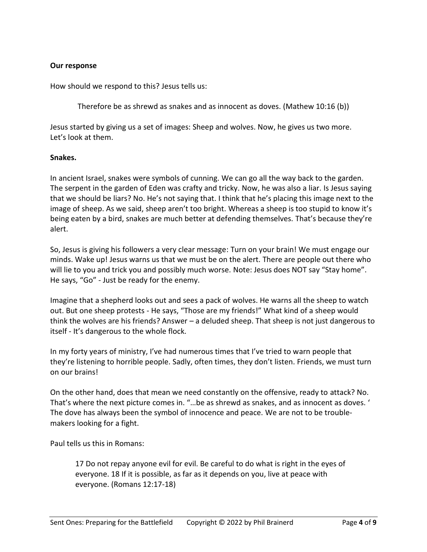## **Our response**

How should we respond to this? Jesus tells us:

Therefore be as shrewd as snakes and as innocent as doves. (Mathew 10:16 (b))

Jesus started by giving us a set of images: Sheep and wolves. Now, he gives us two more. Let's look at them.

### **Snakes.**

In ancient Israel, snakes were symbols of cunning. We can go all the way back to the garden. The serpent in the garden of Eden was crafty and tricky. Now, he was also a liar. Is Jesus saying that we should be liars? No. He's not saying that. I think that he's placing this image next to the image of sheep. As we said, sheep aren't too bright. Whereas a sheep is too stupid to know it's being eaten by a bird, snakes are much better at defending themselves. That's because they're alert.

So, Jesus is giving his followers a very clear message: Turn on your brain! We must engage our minds. Wake up! Jesus warns us that we must be on the alert. There are people out there who will lie to you and trick you and possibly much worse. Note: Jesus does NOT say "Stay home". He says, "Go" - Just be ready for the enemy.

Imagine that a shepherd looks out and sees a pack of wolves. He warns all the sheep to watch out. But one sheep protests - He says, "Those are my friends!" What kind of a sheep would think the wolves are his friends? Answer – a deluded sheep. That sheep is not just dangerous to itself - It's dangerous to the whole flock.

In my forty years of ministry, I've had numerous times that I've tried to warn people that they're listening to horrible people. Sadly, often times, they don't listen. Friends, we must turn on our brains!

On the other hand, does that mean we need constantly on the offensive, ready to attack? No. That's where the next picture comes in. "…be as shrewd as snakes, and as innocent as doves. ' The dove has always been the symbol of innocence and peace. We are not to be troublemakers looking for a fight.

Paul tells us this in Romans:

17 Do not repay anyone evil for evil. Be careful to do what is right in the eyes of everyone. 18 If it is possible, as far as it depends on you, live at peace with everyone. (Romans 12:17-18)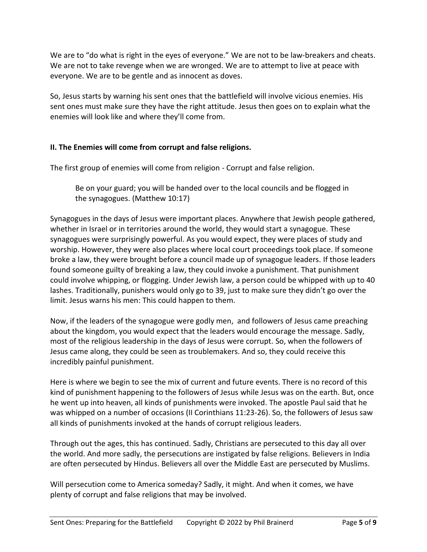We are to "do what is right in the eyes of everyone." We are not to be law-breakers and cheats. We are not to take revenge when we are wronged. We are to attempt to live at peace with everyone. We are to be gentle and as innocent as doves.

So, Jesus starts by warning his sent ones that the battlefield will involve vicious enemies. His sent ones must make sure they have the right attitude. Jesus then goes on to explain what the enemies will look like and where they'll come from.

# **II. The Enemies will come from corrupt and false religions.**

The first group of enemies will come from religion - Corrupt and false religion.

Be on your guard; you will be handed over to the local councils and be flogged in the synagogues. (Matthew 10:17)

Synagogues in the days of Jesus were important places. Anywhere that Jewish people gathered, whether in Israel or in territories around the world, they would start a synagogue. These synagogues were surprisingly powerful. As you would expect, they were places of study and worship. However, they were also places where local court proceedings took place. If someone broke a law, they were brought before a council made up of synagogue leaders. If those leaders found someone guilty of breaking a law, they could invoke a punishment. That punishment could involve whipping, or flogging. Under Jewish law, a person could be whipped with up to 40 lashes. Traditionally, punishers would only go to 39, just to make sure they didn't go over the limit. Jesus warns his men: This could happen to them.

Now, if the leaders of the synagogue were godly men, and followers of Jesus came preaching about the kingdom, you would expect that the leaders would encourage the message. Sadly, most of the religious leadership in the days of Jesus were corrupt. So, when the followers of Jesus came along, they could be seen as troublemakers. And so, they could receive this incredibly painful punishment.

Here is where we begin to see the mix of current and future events. There is no record of this kind of punishment happening to the followers of Jesus while Jesus was on the earth. But, once he went up into heaven, all kinds of punishments were invoked. The apostle Paul said that he was whipped on a number of occasions (II Corinthians 11:23-26). So, the followers of Jesus saw all kinds of punishments invoked at the hands of corrupt religious leaders.

Through out the ages, this has continued. Sadly, Christians are persecuted to this day all over the world. And more sadly, the persecutions are instigated by false religions. Believers in India are often persecuted by Hindus. Believers all over the Middle East are persecuted by Muslims.

Will persecution come to America someday? Sadly, it might. And when it comes, we have plenty of corrupt and false religions that may be involved.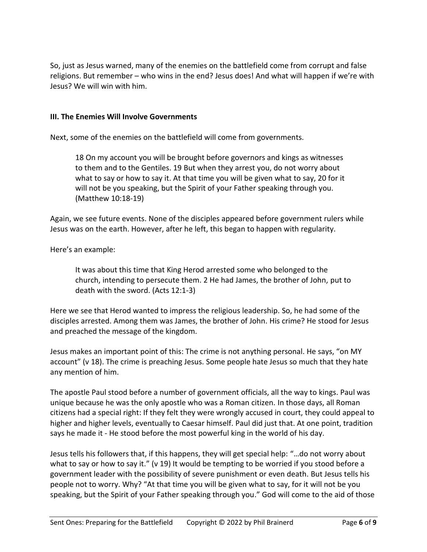So, just as Jesus warned, many of the enemies on the battlefield come from corrupt and false religions. But remember – who wins in the end? Jesus does! And what will happen if we're with Jesus? We will win with him.

### **III. The Enemies Will Involve Governments**

Next, some of the enemies on the battlefield will come from governments.

18 On my account you will be brought before governors and kings as witnesses to them and to the Gentiles. 19 But when they arrest you, do not worry about what to say or how to say it. At that time you will be given what to say, 20 for it will not be you speaking, but the Spirit of your Father speaking through you. (Matthew 10:18-19)

Again, we see future events. None of the disciples appeared before government rulers while Jesus was on the earth. However, after he left, this began to happen with regularity.

Here's an example:

It was about this time that King Herod arrested some who belonged to the church, intending to persecute them. 2 He had James, the brother of John, put to death with the sword. (Acts 12:1-3)

Here we see that Herod wanted to impress the religious leadership. So, he had some of the disciples arrested. Among them was James, the brother of John. His crime? He stood for Jesus and preached the message of the kingdom.

Jesus makes an important point of this: The crime is not anything personal. He says, "on MY account" (v 18). The crime is preaching Jesus. Some people hate Jesus so much that they hate any mention of him.

The apostle Paul stood before a number of government officials, all the way to kings. Paul was unique because he was the only apostle who was a Roman citizen. In those days, all Roman citizens had a special right: If they felt they were wrongly accused in court, they could appeal to higher and higher levels, eventually to Caesar himself. Paul did just that. At one point, tradition says he made it - He stood before the most powerful king in the world of his day.

Jesus tells his followers that, if this happens, they will get special help: "…do not worry about what to say or how to say it." (v 19) It would be tempting to be worried if you stood before a government leader with the possibility of severe punishment or even death. But Jesus tells his people not to worry. Why? "At that time you will be given what to say, for it will not be you speaking, but the Spirit of your Father speaking through you." God will come to the aid of those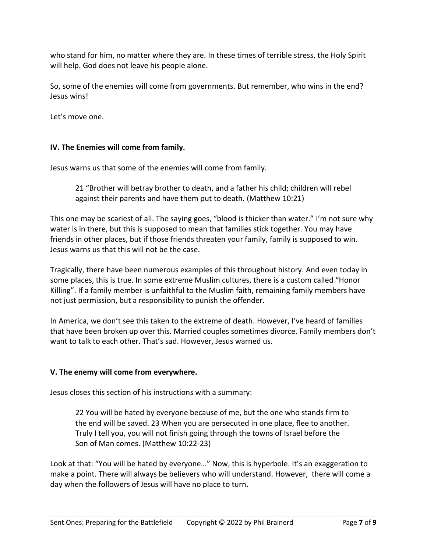who stand for him, no matter where they are. In these times of terrible stress, the Holy Spirit will help. God does not leave his people alone.

So, some of the enemies will come from governments. But remember, who wins in the end? Jesus wins!

Let's move one.

# **IV. The Enemies will come from family.**

Jesus warns us that some of the enemies will come from family.

21 "Brother will betray brother to death, and a father his child; children will rebel against their parents and have them put to death. (Matthew 10:21)

This one may be scariest of all. The saying goes, "blood is thicker than water." I'm not sure why water is in there, but this is supposed to mean that families stick together. You may have friends in other places, but if those friends threaten your family, family is supposed to win. Jesus warns us that this will not be the case.

Tragically, there have been numerous examples of this throughout history. And even today in some places, this is true. In some extreme Muslim cultures, there is a custom called "Honor Killing". If a family member is unfaithful to the Muslim faith, remaining family members have not just permission, but a responsibility to punish the offender.

In America, we don't see this taken to the extreme of death. However, I've heard of families that have been broken up over this. Married couples sometimes divorce. Family members don't want to talk to each other. That's sad. However, Jesus warned us.

# **V. The enemy will come from everywhere.**

Jesus closes this section of his instructions with a summary:

22 You will be hated by everyone because of me, but the one who stands firm to the end will be saved. 23 When you are persecuted in one place, flee to another. Truly I tell you, you will not finish going through the towns of Israel before the Son of Man comes. (Matthew 10:22-23)

Look at that: "You will be hated by everyone…" Now, this is hyperbole. It's an exaggeration to make a point. There will always be believers who will understand. However, there will come a day when the followers of Jesus will have no place to turn.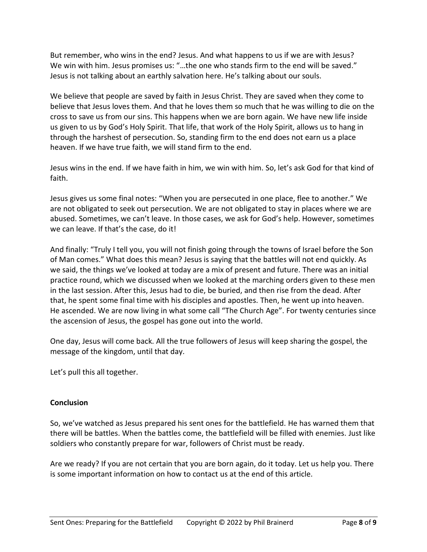But remember, who wins in the end? Jesus. And what happens to us if we are with Jesus? We win with him. Jesus promises us: "...the one who stands firm to the end will be saved." Jesus is not talking about an earthly salvation here. He's talking about our souls.

We believe that people are saved by faith in Jesus Christ. They are saved when they come to believe that Jesus loves them. And that he loves them so much that he was willing to die on the cross to save us from our sins. This happens when we are born again. We have new life inside us given to us by God's Holy Spirit. That life, that work of the Holy Spirit, allows us to hang in through the harshest of persecution. So, standing firm to the end does not earn us a place heaven. If we have true faith, we will stand firm to the end.

Jesus wins in the end. If we have faith in him, we win with him. So, let's ask God for that kind of faith.

Jesus gives us some final notes: "When you are persecuted in one place, flee to another." We are not obligated to seek out persecution. We are not obligated to stay in places where we are abused. Sometimes, we can't leave. In those cases, we ask for God's help. However, sometimes we can leave. If that's the case, do it!

And finally: "Truly I tell you, you will not finish going through the towns of Israel before the Son of Man comes." What does this mean? Jesus is saying that the battles will not end quickly. As we said, the things we've looked at today are a mix of present and future. There was an initial practice round, which we discussed when we looked at the marching orders given to these men in the last session. After this, Jesus had to die, be buried, and then rise from the dead. After that, he spent some final time with his disciples and apostles. Then, he went up into heaven. He ascended. We are now living in what some call "The Church Age". For twenty centuries since the ascension of Jesus, the gospel has gone out into the world.

One day, Jesus will come back. All the true followers of Jesus will keep sharing the gospel, the message of the kingdom, until that day.

Let's pull this all together.

# **Conclusion**

So, we've watched as Jesus prepared his sent ones for the battlefield. He has warned them that there will be battles. When the battles come, the battlefield will be filled with enemies. Just like soldiers who constantly prepare for war, followers of Christ must be ready.

Are we ready? If you are not certain that you are born again, do it today. Let us help you. There is some important information on how to contact us at the end of this article.